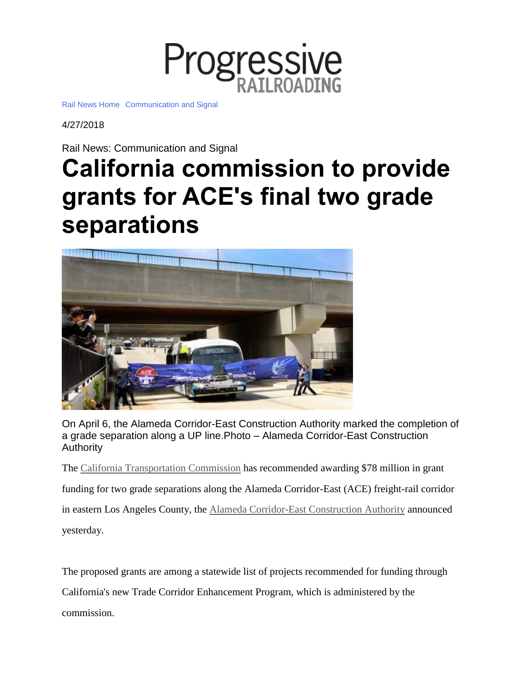

Rail News [Home](https://www.progressiverailroading.com/news/) [Communication](https://www.progressiverailroading.com/c_s) and Signal

4/27/2018

Rail News: Communication and Signal

## **California commission to provide grants for ACE's final two grade separations**



On April 6, the Alameda Corridor-East Construction Authority marked the completion of a grade separation along a UP line.Photo – Alameda Corridor-East Construction Authority

The California [Transportation](http://www.catc.ca.gov/) Commission has recommended awarding \$78 million in grant funding for two grade separations along the Alameda Corridor-East (ACE) freight-rail corridor in eastern Los Angeles County, the Alameda [Corridor-East](http://theaceproject.org/) Construction Authority announced yesterday.

The proposed grants are among a statewide list of projects recommended for funding through California's new Trade Corridor Enhancement Program, which is administered by the commission.